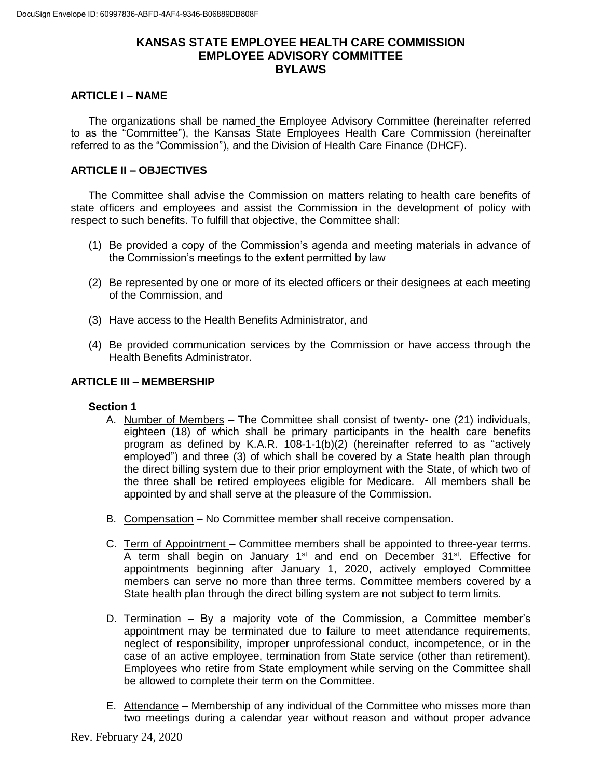# **KANSAS STATE EMPLOYEE HEALTH CARE COMMISSION EMPLOYEE ADVISORY COMMITTEE BYLAWS**

### **ARTICLE I – NAME**

The organizations shall be named the Employee Advisory Committee (hereinafter referred to as the "Committee"), the Kansas State Employees Health Care Commission (hereinafter referred to as the "Commission"), and the Division of Health Care Finance (DHCF).

### **ARTICLE II – OBJECTIVES**

The Committee shall advise the Commission on matters relating to health care benefits of state officers and employees and assist the Commission in the development of policy with respect to such benefits. To fulfill that objective, the Committee shall:

- (1) Be provided a copy of the Commission's agenda and meeting materials in advance of the Commission's meetings to the extent permitted by law
- (2) Be represented by one or more of its elected officers or their designees at each meeting of the Commission, and
- (3) Have access to the Health Benefits Administrator, and
- (4) Be provided communication services by the Commission or have access through the Health Benefits Administrator.

### **ARTICLE III – MEMBERSHIP**

#### **Section 1**

- A. Number of Members The Committee shall consist of twenty- one (21) individuals, eighteen (18) of which shall be primary participants in the health care benefits program as defined by K.A.R. 108-1-1(b)(2) (hereinafter referred to as "actively employed") and three (3) of which shall be covered by a State health plan through the direct billing system due to their prior employment with the State, of which two of the three shall be retired employees eligible for Medicare. All members shall be appointed by and shall serve at the pleasure of the Commission.
- B. Compensation No Committee member shall receive compensation.
- C. Term of Appointment Committee members shall be appointed to three-year terms. A term shall begin on January 1<sup>st</sup> and end on December 31<sup>st</sup>. Effective for appointments beginning after January 1, 2020, actively employed Committee members can serve no more than three terms. Committee members covered by a State health plan through the direct billing system are not subject to term limits.
- D. Termination By a majority vote of the Commission, a Committee member's appointment may be terminated due to failure to meet attendance requirements, neglect of responsibility, improper unprofessional conduct, incompetence, or in the case of an active employee, termination from State service (other than retirement). Employees who retire from State employment while serving on the Committee shall be allowed to complete their term on the Committee.
- E. Attendance Membership of any individual of the Committee who misses more than two meetings during a calendar year without reason and without proper advance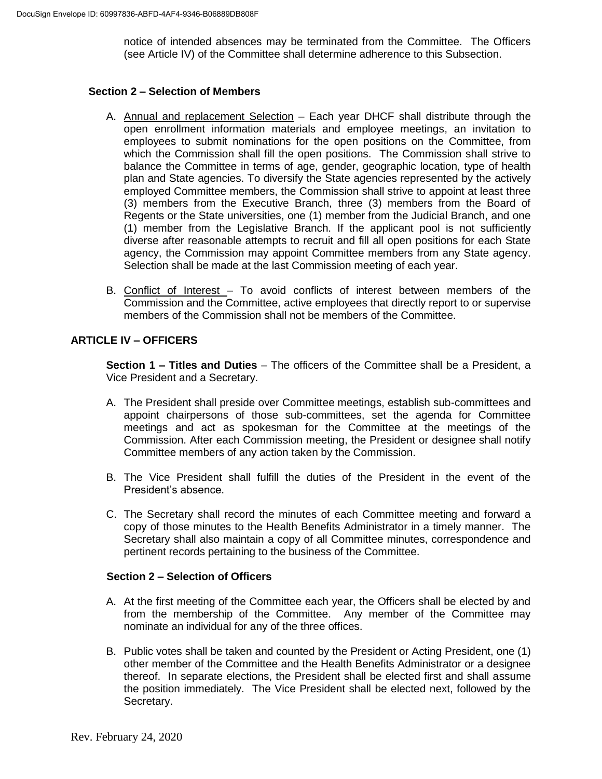notice of intended absences may be terminated from the Committee. The Officers (see Article IV) of the Committee shall determine adherence to this Subsection.

### **Section 2 – Selection of Members**

- A. Annual and replacement Selection Each year DHCF shall distribute through the open enrollment information materials and employee meetings, an invitation to employees to submit nominations for the open positions on the Committee, from which the Commission shall fill the open positions. The Commission shall strive to balance the Committee in terms of age, gender, geographic location, type of health plan and State agencies. To diversify the State agencies represented by the actively employed Committee members, the Commission shall strive to appoint at least three (3) members from the Executive Branch, three (3) members from the Board of Regents or the State universities, one (1) member from the Judicial Branch, and one (1) member from the Legislative Branch. If the applicant pool is not sufficiently diverse after reasonable attempts to recruit and fill all open positions for each State agency, the Commission may appoint Committee members from any State agency. Selection shall be made at the last Commission meeting of each year.
- B. Conflict of Interest To avoid conflicts of interest between members of the Commission and the Committee, active employees that directly report to or supervise members of the Commission shall not be members of the Committee.

## **ARTICLE IV – OFFICERS**

**Section 1 – Titles and Duties** – The officers of the Committee shall be a President, a Vice President and a Secretary.

- A. The President shall preside over Committee meetings, establish sub-committees and appoint chairpersons of those sub-committees, set the agenda for Committee meetings and act as spokesman for the Committee at the meetings of the Commission. After each Commission meeting, the President or designee shall notify Committee members of any action taken by the Commission.
- B. The Vice President shall fulfill the duties of the President in the event of the President's absence.
- C. The Secretary shall record the minutes of each Committee meeting and forward a copy of those minutes to the Health Benefits Administrator in a timely manner. The Secretary shall also maintain a copy of all Committee minutes, correspondence and pertinent records pertaining to the business of the Committee.

## **Section 2 – Selection of Officers**

- A. At the first meeting of the Committee each year, the Officers shall be elected by and from the membership of the Committee. Any member of the Committee may nominate an individual for any of the three offices.
- B. Public votes shall be taken and counted by the President or Acting President, one (1) other member of the Committee and the Health Benefits Administrator or a designee thereof. In separate elections, the President shall be elected first and shall assume the position immediately. The Vice President shall be elected next, followed by the Secretary.